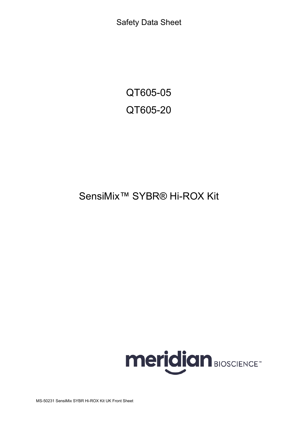Safety Data Sheet

QT605-05 QT605-20

# SensiMix™ SYBR® Hi-ROX Kit

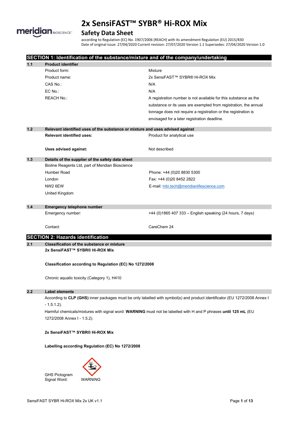

## **Safety Data Sheet**

according to Regulation (EC) No. 1907/2006 (REACH) with its amendment Regulation (EU) 2015/830 Date of original issue: 27/04/2020 Current revision: 27/07/2020 Version 1.1 Supersedes: 27/04/2020 Version 1.0

|       |                                                                                                                 | SECTION 1: Identification of the substance/mixture and of the company/undertaking                                          |  |  |
|-------|-----------------------------------------------------------------------------------------------------------------|----------------------------------------------------------------------------------------------------------------------------|--|--|
| $1.1$ | <b>Product identifier</b>                                                                                       |                                                                                                                            |  |  |
|       | Product form:                                                                                                   | Mixture                                                                                                                    |  |  |
|       | Product name:                                                                                                   | 2x SensiFAST™ SYBR® Hi-ROX Mix                                                                                             |  |  |
|       | CAS No.:                                                                                                        | N/A                                                                                                                        |  |  |
|       | EC No.:                                                                                                         | N/A                                                                                                                        |  |  |
|       | <b>REACH No.:</b>                                                                                               | A registration number is not available for this substance as the                                                           |  |  |
|       |                                                                                                                 | substance or its uses are exempted from registration, the annual                                                           |  |  |
|       |                                                                                                                 | tonnage does not require a registration or the registration is                                                             |  |  |
|       |                                                                                                                 | envisaged for a later registration deadline.                                                                               |  |  |
| $1.2$ | Relevant identified uses of the substance or mixture and uses advised against                                   |                                                                                                                            |  |  |
|       | <b>Relevant identified uses:</b>                                                                                | Product for analytical use                                                                                                 |  |  |
|       | Uses advised against:                                                                                           | Not described                                                                                                              |  |  |
| $1.3$ | Details of the supplier of the safety data sheet                                                                |                                                                                                                            |  |  |
|       | Bioline Reagents Ltd, part of Meridian Bioscience                                                               |                                                                                                                            |  |  |
|       | Humber Road                                                                                                     | Phone: +44 (0)20 8830 5300                                                                                                 |  |  |
|       | London                                                                                                          | Fax: +44 (0)20 8452 2822                                                                                                   |  |  |
|       | NW <sub>2</sub> 6EW                                                                                             | E-mail: mbi.tech@meridianlifescience.com                                                                                   |  |  |
|       | United Kingdom                                                                                                  |                                                                                                                            |  |  |
| 1.4   | <b>Emergency telephone number</b>                                                                               |                                                                                                                            |  |  |
|       | Emergency number:                                                                                               | +44 (0)1865 407 333 - English speaking (24 hours, 7 days)                                                                  |  |  |
|       | Contact:                                                                                                        | CareChem 24                                                                                                                |  |  |
|       | <b>SECTION 2: Hazards identification</b>                                                                        |                                                                                                                            |  |  |
| 2.1   | <b>Classification of the substance or mixture</b>                                                               |                                                                                                                            |  |  |
|       | 2x SensiFAST™ SYBR® Hi-ROX Mix                                                                                  |                                                                                                                            |  |  |
|       | Classification according to Regulation (EC) No 1272/2008                                                        |                                                                                                                            |  |  |
|       | Chronic aquatic toxicity (Category 1), H410                                                                     |                                                                                                                            |  |  |
| 2.2   | <b>Label elements</b>                                                                                           |                                                                                                                            |  |  |
|       |                                                                                                                 | According to CLP (GHS) inner packages must be only labelled with symbol(s) and product identificator (EU 1272/2008 Annex I |  |  |
|       | $-1.5.1.2$ ).                                                                                                   |                                                                                                                            |  |  |
|       | Harmful chemicals/mixtures with signal word: WARNING must not be labelled with H and P phrases until 125 mL (EU |                                                                                                                            |  |  |
|       | 1272/2008 Annex I - 1.5.2).                                                                                     |                                                                                                                            |  |  |
|       | 2x SensiFAST™ SYBR® Hi-ROX Mix                                                                                  |                                                                                                                            |  |  |
|       | Labelling according Regulation (EC) No 1272/2008                                                                |                                                                                                                            |  |  |
|       |                                                                                                                 |                                                                                                                            |  |  |

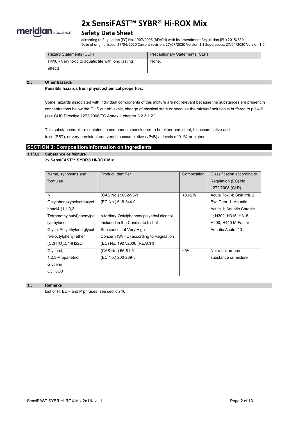

### **Safety Data Sheet**

according to Regulation (EC) No. 1907/2006 (REACH) with its amendment Regulation (EU) 2015/830 Date of original issue: 27/04/2020 Current revision: 27/07/2020 Version 1.1 Supersedes: 27/04/2020 Version 1.0

| Hazard Statements (CLP)                             | Precautionary Statements (CLP) |
|-----------------------------------------------------|--------------------------------|
| H410 - Very toxic to aquatic life with long lasting | None.                          |
| effects                                             |                                |

### **2.3 Other hazards**

**Possible hazards from physicochemical properties:**

Some hazards associated with individual components of this mixture are not relevant because the substances are present in concentrations below the GHS cut-off levels, change of physical state or because the mixture/ solution is buffered to pH 4-9 (see GHS Directive 1272/2008/EC Annex I, chapter 3.2.3.1.2.).

This substance/mixture contains no components considered to be either persistent, bioaccumulative and toxic (PBT), or very persistent and very bioaccumulative (vPvB) at levels of 0.1% or higher.

### **SECTION 3: Composition/information on ingredients**

### **3.1/3.2 Substance or Mixture**

### **2x SensiFAST™ SYBR® Hi-ROX Mix**

| Name, synonyms and           | Product Identifier                        | Composition | Classification according to  |
|------------------------------|-------------------------------------------|-------------|------------------------------|
| formulae                     |                                           |             | Regulation (EC) No.          |
|                              |                                           |             | 1272/2008 (CLP)              |
| $t-$                         | (CAS No.) 9002-93-1                       | < 0.02%     | Acute Tox. 4; Skin Irrit. 2; |
| Octylphenoxypolyethoxyet     | (EC No.) 618-344-0                        |             | Eye Dam. 1; Aquatic          |
| $hanol4-(1,1,3,3-$           |                                           |             | Acute 1; Aquatic Chronic     |
| Tetramethylbutyl)phenylpo    | p-tertiary-Octylphenoxy polyethyl alcohol |             | 1; H302, H315, H318,         |
| lyethylene                   | Included in the Candidate List of         |             | H400, H410 M-Factor -        |
| Glycol Polyethylene glycol   | Substances of Very High                   |             | Aquatic Acute: 10            |
| tert-octylphenyl ether       | Concern (SVHC) according to Regulation    |             |                              |
| (C2H4O) <sub>n</sub> C14H22O | (EC) No. 1907/2006 (REACH)                |             |                              |
| Glycerol,                    | (CAS No.) 56-81-5                         | $< 5\%$     | Not a hazardous              |
| 1,2,3-Propanetriol           | (EC No.) 200-289-5                        |             | substance or mixture         |
| Glycerin                     |                                           |             |                              |
| C3H8O3                       |                                           |             |                              |

### **3.3 Remarks**

List of H, EUR and P phrases: see section 16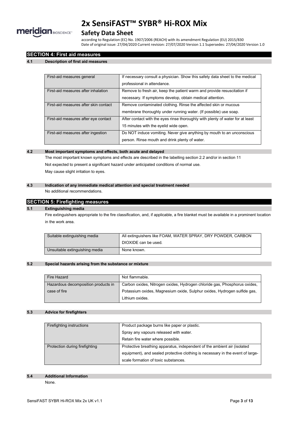

### **Safety Data Sheet**

according to Regulation (EC) No. 1907/2006 (REACH) with its amendment Regulation (EU) 2015/830 Date of original issue: 27/04/2020 Current revision: 27/07/2020 Version 1.1 Supersedes: 27/04/2020 Version 1.0

### **SECTION 4: First aid measures**

### **4.1 Description of first aid measures**

| First-aid measures general            | If necessary consult a physician. Show this safety data sheet to the medical   |  |
|---------------------------------------|--------------------------------------------------------------------------------|--|
|                                       | professional in attendance.                                                    |  |
| First-aid measures after inhalation   | Remove to fresh air, keep the patient warm and provide resuscitation if        |  |
|                                       | necessary. If symptoms develop, obtain medical attention.                      |  |
| First-aid measures after skin contact | Remove contaminated clothing. Rinse the affected skin or mucous                |  |
|                                       | membrane thoroughly under running water. (If possible) use soap.               |  |
| First-aid measures after eye contact  | After contact with the eyes rinse thoroughly with plenty of water for at least |  |
|                                       | 15 minutes with the eyelid wide open.                                          |  |
| First-aid measures after ingestion    | Do NOT induce vomiting. Never give anything by mouth to an unconscious         |  |
|                                       | person. Rinse mouth and drink plenty of water.                                 |  |

#### **4.2 Most important symptoms and effects, both acute and delayed**

The most important known symptoms and effects are described in the labelling section 2.2 and/or in section 11 Not expected to present a significant hazard under anticipated conditions of normal use. May cause slight irritation to eyes.

### **4.3 Indication of any immediate medical attention and special treatment needed**

No additional recommendations.

### **SECTION 5: Firefighting measures**

### **5.1 Extinguishing media**

Fire extinguishers appropriate to the fire classification, and, if applicable, a fire blanket must be available in a prominent location in the work area.

| Suitable extinguishing media   | All extinguishers like FOAM, WATER SPRAY, DRY POWDER, CARBON |  |
|--------------------------------|--------------------------------------------------------------|--|
|                                | DIOXIDE can be used.                                         |  |
| Unsuitable extinguishing media | None known.                                                  |  |

### **5.2 Special hazards arising from the substance or mixture**

| Fire Hazard                         | Not flammable.                                                            |
|-------------------------------------|---------------------------------------------------------------------------|
|                                     |                                                                           |
| Hazardous decomposition products in | Carbon oxides, Nitrogen oxides, Hydrogen chloride gas, Phosphorus oxides, |
| case of fire                        | Potassium oxides, Magnesium oxide, Sulphur oxides, Hydrogen sulfide gas,  |
|                                     | Lithium oxides.                                                           |

### **5.3 Advice for firefighters**

| Firefighting instructions      | Product package burns like paper or plastic.                                   |  |
|--------------------------------|--------------------------------------------------------------------------------|--|
|                                | Spray any vapours released with water.                                         |  |
|                                | Retain fire water where possible.                                              |  |
| Protection during firefighting | Protective breathing apparatus, independent of the ambient air (isolated       |  |
|                                | equipment), and sealed protective clothing is necessary in the event of large- |  |
|                                | scale formation of toxic substances.                                           |  |

#### **5.4 Additional Information**

None.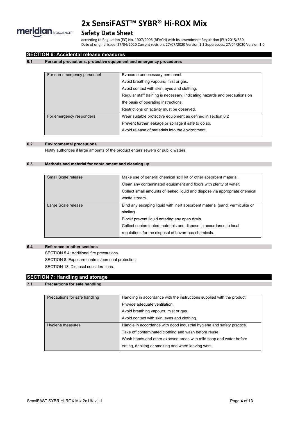

### **Safety Data Sheet**

according to Regulation (EC) No. 1907/2006 (REACH) with its amendment Regulation (EU) 2015/830 Date of original issue: 27/04/2020 Current revision: 27/07/2020 Version 1.1 Supersedes: 27/04/2020 Version 1.0

### **SECTION 6: Accidental release measures**

### **6.1 Personal precautions, protective equipment and emergency procedures**

| For non-emergency personnel | Evacuate unnecessary personnel.                                            |  |
|-----------------------------|----------------------------------------------------------------------------|--|
|                             | Avoid breathing vapours, mist or gas.                                      |  |
|                             | Avoid contact with skin, eyes and clothing.                                |  |
|                             | Regular staff training is necessary, indicating hazards and precautions on |  |
|                             | the basis of operating instructions.                                       |  |
|                             | Restrictions on activity must be observed.                                 |  |
| For emergency responders    | Wear suitable protective equipment as defined in section 8.2               |  |
|                             | Prevent further leakage or spillage if safe to do so.                      |  |
|                             | Avoid release of materials into the environment.                           |  |

### **6.2 Environmental precautions**

Notify authorities if large amounts of the product enters sewers or public waters.

### **6.3 Methods and material for containment and cleaning up**

| Small Scale release | Make use of general chemical spill kit or other absorbent material.          |  |
|---------------------|------------------------------------------------------------------------------|--|
|                     | Clean any contaminated equipment and floors with plenty of water.            |  |
|                     | Collect small amounts of leaked liquid and dispose via appropriate chemical  |  |
|                     | waste stream.                                                                |  |
| Large Scale release | Bind any escaping liquid with inert absorbent material (sand, vermiculite or |  |
|                     | similar).                                                                    |  |
|                     | Block/ prevent liquid entering any open drain.                               |  |
|                     | Collect contaminated materials and dispose in accordance to local            |  |
|                     | regulations for the disposal of hazardous chemicals.                         |  |

### **6.4 Reference to other sections**

SECTION 5.4: Additional fire precautions. SECTION 8: Exposure controls/personal protection. SECTION 13: Disposal considerations.

### **SECTION 7: Handling and storage**

### **7.1 Precautions for safe handling**

| Precautions for safe handling | Handling in accordance with the instructions supplied with the product. |  |
|-------------------------------|-------------------------------------------------------------------------|--|
|                               | Provide adequate ventilation.                                           |  |
|                               | Avoid breathing vapours, mist or gas.                                   |  |
|                               | Avoid contact with skin, eyes and clothing.                             |  |
| Hygiene measures              | Handle in accordance with good industrial hygiene and safety practice.  |  |
|                               | Take off contaminated clothing and wash before reuse.                   |  |
|                               | Wash hands and other exposed areas with mild soap and water before      |  |
|                               | eating, drinking or smoking and when leaving work.                      |  |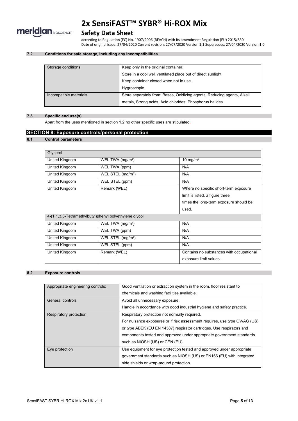

## **Safety Data Sheet**

according to Regulation (EC) No. 1907/2006 (REACH) with its amendment Regulation (EU) 2015/830 Date of original issue: 27/04/2020 Current revision: 27/07/2020 Version 1.1 Supersedes: 27/04/2020 Version 1.0

### **7.2 Conditions for safe storage, including any incompatibilities**

| Storage conditions                                                                                | Keep only in the original container.                          |  |
|---------------------------------------------------------------------------------------------------|---------------------------------------------------------------|--|
|                                                                                                   | Store in a cool well ventilated place out of direct sunlight. |  |
|                                                                                                   | Keep container closed when not in use.                        |  |
|                                                                                                   | Hygroscopic.                                                  |  |
| Store separately from: Bases, Oxidizing agents, Reducing agents, Alkali<br>Incompatible materials |                                                               |  |
|                                                                                                   | metals, Strong acids, Acid chlorides, Phosphorus halides.     |  |

### **7.3 Specific end use(s)**

Apart from the uses mentioned in section 1.2 no other specific uses are stipulated.

### **SECTION 8: Exposure controls/personal protection**

### **8.1 Control parameters**

| Glycerol       |                                                        |                                          |  |  |
|----------------|--------------------------------------------------------|------------------------------------------|--|--|
| United Kingdom | WEL TWA (mg/m <sup>3</sup> )                           | 10 mg/m $3$                              |  |  |
| United Kingdom | WEL TWA (ppm)                                          | N/A                                      |  |  |
| United Kingdom | WEL STEL $(mg/m3)$                                     | N/A                                      |  |  |
| United Kingdom | WEL STEL (ppm)                                         | N/A                                      |  |  |
| United Kingdom | Remark (WEL)                                           | Where no specific short-term exposure    |  |  |
|                |                                                        | limit is listed, a figure three          |  |  |
|                |                                                        | times the long-term exposure should be   |  |  |
|                |                                                        | used.                                    |  |  |
|                | 4-(1,1,3,3-Tetramethylbutyl)phenyl polyethylene glycol |                                          |  |  |
| United Kingdom | WEL TWA $(mg/m3)$                                      | N/A                                      |  |  |
| United Kingdom | WEL TWA (ppm)                                          | N/A                                      |  |  |
| United Kingdom | WEL STEL (mg/m <sup>3</sup> )                          | N/A                                      |  |  |
| United Kingdom | WEL STEL (ppm)                                         | N/A                                      |  |  |
| United Kingdom | Remark (WEL)                                           | Contains no substances with occupational |  |  |
|                |                                                        | exposure limit values.                   |  |  |

### **8.2 Exposure controls**

| Appropriate engineering controls: | Good ventilation or extraction system in the room, floor resistant to      |
|-----------------------------------|----------------------------------------------------------------------------|
|                                   | chemicals and washing facilities available.                                |
| General controls                  | Avoid all unnecessary exposure.                                            |
|                                   | Handle in accordance with good industrial hygiene and safety practice.     |
| Respiratory protection            | Respiratory protection not normally required.                              |
|                                   | For nuisance exposures or if risk assessment requires, use type OV/AG (US) |
|                                   | or type ABEK (EU EN 14387) respirator cartridges. Use respirators and      |
|                                   | components tested and approved under appropriate government standards      |
|                                   | such as NIOSH (US) or CEN (EU).                                            |
| Eye protection                    | Use equipment for eye protection tested and approved under appropriate     |
|                                   | government standards such as NIOSH (US) or EN166 (EU) with integrated      |
|                                   | side shields or wrap-around protection.                                    |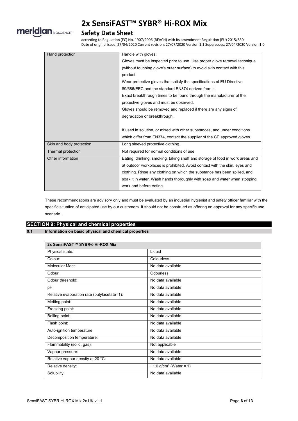

## **Safety Data Sheet**

according to Regulation (EC) No. 1907/2006 (REACH) with its amendment Regulation (EU) 2015/830 Date of original issue: 27/04/2020 Current revision: 27/07/2020 Version 1.1 Supersedes: 27/04/2020 Version 1.0

| Hand protection          | Handle with gloves.                                                           |
|--------------------------|-------------------------------------------------------------------------------|
|                          | Gloves must be inspected prior to use. Use proper glove removal technique     |
|                          | (without touching glove's outer surface) to avoid skin contact with this      |
|                          | product.                                                                      |
|                          | Wear protective gloves that satisfy the specifications of EU Directive        |
|                          | 89/686/EEC and the standard EN374 derived from it.                            |
|                          | Exact breakthrough times to be found through the manufacturer of the          |
|                          | protective gloves and must be observed.                                       |
|                          | Gloves should be removed and replaced if there are any signs of               |
|                          | degradation or breakthrough.                                                  |
|                          |                                                                               |
|                          | If used in solution, or mixed with other substances, and under conditions     |
|                          | which differ from EN374, contact the supplier of the CE approved gloves.      |
| Skin and body protection | Long sleeved protective clothing.                                             |
| Thermal protection       | Not required for normal conditions of use.                                    |
| Other information        | Eating, drinking, smoking, taking snuff and storage of food in work areas and |
|                          | at outdoor workplaces is prohibited. Avoid contact with the skin, eyes and    |
|                          | clothing. Rinse any clothing on which the substance has been spilled, and     |
|                          | soak it in water. Wash hands thoroughly with soap and water when stopping     |
|                          | work and before eating.                                                       |

These recommendations are advisory only and must be evaluated by an industrial hygienist and safety officer familiar with the specific situation of anticipated use by our customers. It should not be construed as offering an approval for any specific use scenario.

## **SECTION 9: Physical and chemical properties**

### **9.1 Information on basic physical and chemical properties**

| 2x SensiFAST™ SYBR® Hi-ROX Mix              |                           |
|---------------------------------------------|---------------------------|
| Physical state:                             | Liquid                    |
| Colour:                                     | Colourless                |
| Molecular Mass:                             | No data available         |
| Odour:                                      | Odourless                 |
| Odour threshold:                            | No data available         |
| pH:                                         | No data available         |
| Relative evaporation rate (butylacetate=1): | No data available         |
| Melting point:                              | No data available         |
| Freezing point:                             | No data available         |
| Boiling point:                              | No data available         |
| Flash point:                                | No data available         |
| Auto-ignition temperature:                  | No data available         |
| Decomposition temperature:                  | No data available         |
| Flammability (solid, gas):                  | Not applicable            |
| Vapour pressure:                            | No data available         |
| Relative vapour density at 20 °C:           | No data available         |
| Relative density:                           | ~1.0 $g/cm^3$ (Water = 1) |
| Solubility:                                 | No data available         |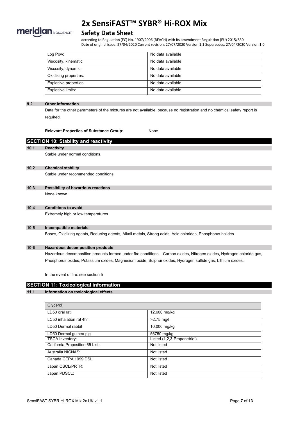

### **Safety Data Sheet**

according to Regulation (EC) No. 1907/2006 (REACH) with its amendment Regulation (EU) 2015/830 Date of original issue: 27/04/2020 Current revision: 27/07/2020 Version 1.1 Supersedes: 27/04/2020 Version 1.0

| Log Pow:              | No data available |
|-----------------------|-------------------|
| Viscosity, kinematic: | No data available |
| Viscosity, dynamic:   | No data available |
| Oxidising properties: | No data available |
| Explosive properties: | No data available |
| Explosive limits:     | No data available |

### **9.2 Other information**

Data for the other parameters of the mixtures are not available, because no registration and no chemical safety report is required.

**Relevant Properties of Substance Group**: None

**SECTION 10: Stability and reactivity 10.1 Reactivity** Stable under normal conditions. **10.2 Chemical stability** Stable under recommended conditions. **10.3 Possibility of hazardous reactions** None known. **10.4 Conditions to avoid** Extremely high or low temperatures. **10.5 Incompatible materials** Bases, Oxidizing agents, Reducing agents, Alkali metals, Strong acids, Acid chlorides, Phosphorus halides. **10.6 Hazardous decomposition products**

Hazardous decomposition products formed under fire conditions – Carbon oxides, Nitrogen oxides, Hydrogen chloride gas, Phosphorus oxides, Potassium oxides, Magnesium oxide, Sulphur oxides, Hydrogen sulfide gas, Lithium oxides.

In the event of fire: see section 5

## **SECTION 11: Toxicological information**

### **11.1 Information on toxicological effects**

| Glycerol                        |                             |
|---------------------------------|-----------------------------|
| LD50 oral rat                   | 12,600 mg/kg                |
| LC50 inhalation rat 4hr         | $>2.75$ mg/l                |
| LD50 Dermal rabbit              | 10,000 mg/kg                |
| LD50 Dermal guinea pig          | 56750 mg/kg                 |
| <b>TSCA Inventory:</b>          | Listed (1,2,3-Propanetriol) |
| California Proposition 65 List: | Not listed                  |
| Australia NICNAS:               | Not listed                  |
| Canada CEPA 1999:DSL:           | Not listed                  |
| Japan CSCL/PRTR:                | Not listed                  |
| Japan PDSCL:                    | Not listed                  |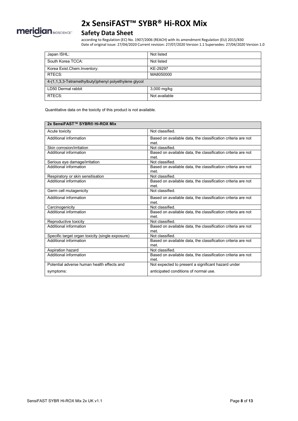

## **Safety Data Sheet**

according to Regulation (EC) No. 1907/2006 (REACH) with its amendment Regulation (EU) 2015/830 Date of original issue: 27/04/2020 Current revision: 27/07/2020 Version 1.1 Supersedes: 27/04/2020 Version 1.0

| Japan ISHL:                                            | Not listed    |  |
|--------------------------------------------------------|---------------|--|
| South Korea TCCA:                                      | Not listed    |  |
| Korea Exist.Chem.Inventory:                            | KE-29297      |  |
| RTECS:                                                 | MA8050000     |  |
| 4-(1,1,3,3-Tetramethylbutyl)phenyl polyethylene glycol |               |  |
| LD50 Dermal rabbit                                     | 3,000 mg/kg   |  |
| RTECS:                                                 | Not available |  |

Quantitative data on the toxicity of this product is not available.

| 2x SensiFAST™ SYBR® Hi-ROX Mix                   |                                                                      |
|--------------------------------------------------|----------------------------------------------------------------------|
| Acute toxicity                                   | Not classified.                                                      |
| Additional information                           | Based on available data, the classification criteria are not<br>met. |
| Skin corrosion/irritation                        | Not classified.                                                      |
| Additional information                           | Based on available data, the classification criteria are not<br>met. |
| Serious eye damage/irritation                    | Not classified                                                       |
| Additional information                           | Based on available data, the classification criteria are not<br>met. |
| Respiratory or skin sensitisation                | Not classified.                                                      |
| Additional information                           | Based on available data, the classification criteria are not<br>met. |
| Germ cell mutagenicity                           | Not classified.                                                      |
| Additional information                           | Based on available data, the classification criteria are not<br>met. |
| Carcinogenicity                                  | Not classified                                                       |
| Additional information                           | Based on available data, the classification criteria are not<br>met. |
| Reproductive toxicity                            | Not classified.                                                      |
| Additional information                           | Based on available data, the classification criteria are not<br>met. |
| Specific target organ toxicity (single exposure) | Not classified.                                                      |
| Additional information                           | Based on available data, the classification criteria are not<br>met  |
| Aspiration hazard                                | Not classified.                                                      |
| Additional information                           | Based on available data, the classification criteria are not<br>met. |
| Potential adverse human health effects and       | Not expected to present a significant hazard under                   |
| symptoms:                                        | anticipated conditions of normal use.                                |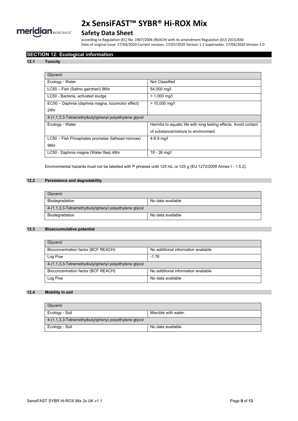

## **Safety Data Sheet**

according to Regulation (EC) No. 1907/2006 (REACH) with its amendment Regulation (EU) 2015/830 Date of original issue: 27/04/2020 Current revision: 27/07/2020 Version 1.1 Supersedes: 27/04/2020 Version 1.0

### **SECTION 12: Ecological information**

### **12.1 Toxicity**

| Glycerol                                               |                                                                  |
|--------------------------------------------------------|------------------------------------------------------------------|
| Ecology - Water                                        | Not Classified                                                   |
| LC50 - Fish (Salmo gairdneri) 96hr                     | 54,000 mg/l                                                      |
| LC50 - Bacteria, activated sludge                      | $> 1,000 \,\mathrm{mq/l}$                                        |
| EC50 - Daphnia (daphnia magna, locomotor effect)       | $> 10,000$ mg/l                                                  |
| 24hr                                                   |                                                                  |
| 4-(1,1,3,3-Tetramethylbutyl)phenyl polyethylene glycol |                                                                  |
| Ecology - Water                                        | Harmful to aquatic life with long lasting effects. Avoid contact |
|                                                        | of substance/mixture to environment.                             |
| LC50 – Fish Pimephales promelas (fathead minnow)       | $4 - 8.9$ mg/l                                                   |
| 96hr                                                   |                                                                  |
| LC50 - Daphnia magna (Water flea) 48hr                 | $18 - 26$ mg/l                                                   |

Environmental hazards must not be labelled with P phrases until 125 mL or 125 g (EU 1272/2008 Annex I - 1.5.2).

### **12.2 Persistence and degradability**

| Glycerol                                               |                   |  |
|--------------------------------------------------------|-------------------|--|
| Biodegradation                                         | No data available |  |
| 4-(1,1,3,3-Tetramethylbutyl)phenyl polyethylene glycol |                   |  |
| Biodegradation                                         | No data available |  |

### **12.3 Bioaccumulative potential**

| Glycerol                                               |                                     |  |
|--------------------------------------------------------|-------------------------------------|--|
| Bioconcentration factor (BCF REACH)                    | No additional information available |  |
| Log Pow                                                | $-1.76$                             |  |
| 4-(1,1,3,3-Tetramethylbutyl)phenyl polyethylene glycol |                                     |  |
| Bioconcentration factor (BCF REACH)                    | No additional information available |  |
| Log Pow                                                | No data available                   |  |

### **12.4 Mobility in soil**

| Glvcerol                                               |                      |
|--------------------------------------------------------|----------------------|
| Ecology - Soil                                         | Miscible with water. |
| 4-(1,1,3,3-Tetramethylbutyl)phenyl polyethylene glycol |                      |
| Ecology - Soil                                         | No data available.   |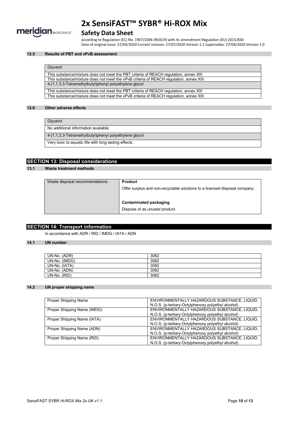

## **Safety Data Sheet**

according to Regulation (EC) No. 1907/2006 (REACH) with its amendment Regulation (EU) 2015/830 Date of original issue: 27/04/2020 Current revision: 27/07/2020 Version 1.1 Supersedes: 27/04/2020 Version 1.0

### **12.5 Results of PBT and vPvB assessment**

### **Glycerol**

| This substance/mixture does not meet the PBT criteria of REACH regulation, annex XIII  |
|----------------------------------------------------------------------------------------|
| This substance/mixture does not meet the vPvB criteria of REACH regulation, annex XIII |
| 4-(1,1,3,3-Tetramethylbutyl)phenyl polyethylene glycol                                 |
| This substance/mixture does not meet the PBT criteria of REACH regulation, annex XIII  |
| This substance/mixture does not meet the vPvB criteria of REACH regulation, annex XIII |

### **12.6 Other adverse effects**

| Glycerol                                               |
|--------------------------------------------------------|
| No additional information available.                   |
| 4-(1,1,3,3-Tetramethylbutyl)phenyl polyethylene glycol |
| Very toxic to aquatic life with long lasting effects.  |

### **SECTION 13: Disposal considerations**

### **13.1 Waste treatment methods**

| Waste disposal recommendations: | <b>Product</b>                                                             |
|---------------------------------|----------------------------------------------------------------------------|
|                                 | Offer surplus and non-recyclable solutions to a licensed disposal company. |
|                                 |                                                                            |
|                                 | Contaminated packaging                                                     |
|                                 | Dispose of as unused product.                                              |
|                                 |                                                                            |

### **SECTION 14: Transport information**

In accordance with ADR / RID / IMDG / IATA / ADN

### **14.1 UN number**

| UN-No. (ADR)  | 3082 |
|---------------|------|
| UN-No. (IMDG) | 3082 |
| UN-No. (IATA) | 3082 |
| UN-No. (ADN)  | 3082 |
| UN-No. (RID)  | 3082 |

### **14.2 UN proper shipping name**

| <b>Proper Shipping Name</b> | ENVIRONMENTALLY HAZARDOUS SUBSTANCE, LIQUID,       |
|-----------------------------|----------------------------------------------------|
|                             | N.O.S. (p-tertiary-Octylphenoxy polyethyl alcohol) |
| Proper Shipping Name (IMDG) | ENVIRONMENTALLY HAZARDOUS SUBSTANCE, LIQUID,       |
|                             | N.O.S. (p-tertiary-Octylphenoxy polyethyl alcohol) |
| Proper Shipping Name (IATA) | ENVIRONMENTALLY HAZARDOUS SUBSTANCE, LIQUID,       |
|                             | N.O.S. (p-tertiary-Octylphenoxy polyethyl alcohol) |
| Proper Shipping Name (ADN)  | ENVIRONMENTALLY HAZARDOUS SUBSTANCE, LIQUID,       |
|                             | N.O.S. (p-tertiary-Octylphenoxy polyethyl alcohol) |
| Proper Shipping Name (RID)  | ENVIRONMENTALLY HAZARDOUS SUBSTANCE, LIQUID,       |
|                             | N.O.S. (p-tertiary-Octylphenoxy polyethyl alcohol) |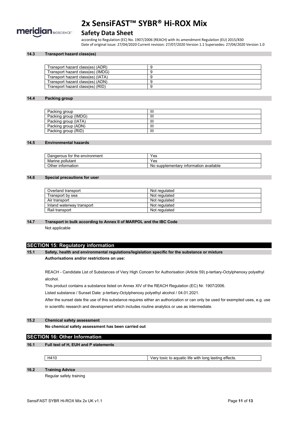

### **Safety Data Sheet**

according to Regulation (EC) No. 1907/2006 (REACH) with its amendment Regulation (EU) 2015/830 Date of original issue: 27/04/2020 Current revision: 27/07/2020 Version 1.1 Supersedes: 27/04/2020 Version 1.0

### **14.3 Transport hazard class(es)**

| Transport hazard class(es) (ADR)  |  |
|-----------------------------------|--|
| Transport hazard class(es) (IMDG) |  |
| Transport hazard class(es) (IATA) |  |
| Transport hazard class(es) (ADN)  |  |
| Transport hazard class(es) (RID)  |  |

### **14.4 Packing group**

| Packing group        | Ш |
|----------------------|---|
| Packing group (IMDG) | Ш |
| Packing group (IATA) | Ш |
| Packing group (ADN)  | Ш |
| Packing group (RID)  | Ш |

#### **14.5 Environmental hazards**

| Dangerous for the environment | ⊻es                                         |
|-------------------------------|---------------------------------------------|
| Marine pollutant              | Yes                                         |
| Other information             | ∘ available<br>No supplementary information |

### **14.6 Special precautions for user**

| Overland transport        | Not regulated |
|---------------------------|---------------|
| Transport by sea          | Not regulated |
| Air transport             | Not regulated |
| Inland waterway transport | Not regulated |
| Rail transport            | Not regulated |

### **14.7 Transport in bulk according to Annex II of MARPOL and the IBC Code**

Not applicable

### **SECTION 15: Regulatory information**

**15.1 Safety, health and environmental regulations/legislation specific for the substance or mixture Authorisations and/or restrictions on use:**

REACH - Candidate List of Substances of Very High Concern for Authorisation (Article 59) p-tertiary-Octylphenoxy polyethyl alcohol.

This product contains a substance listed on Annex XIV of the REACH Regulation (EC) Nr. 1907/2006.

Listed substance / Sunset Date: p-tertiary-Octylphenoxy polyethyl alcohol / 04.01.2021.

After the sunset date the use of this substance requires either an authorization or can only be used for exempted uses, e.g. use in scientific research and development which includes routine analytics or use as intermediate.

### **15.2 Chemical safety assessment**

**No chemical safety assessment has been carried out**

### **SECTION 16: Other Information**

### **16.1 Full text of H, EUH and P statements**

H410 Very toxic to aquatic life with long lasting effects.

**16.2 Training Advice**

Regular safety training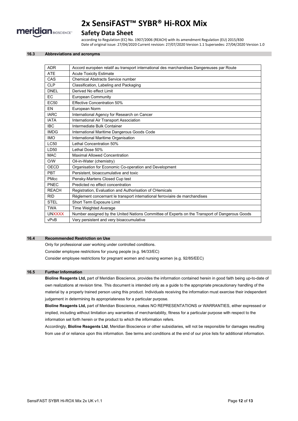

### **Safety Data Sheet**

according to Regulation (EC) No. 1907/2006 (REACH) with its amendment Regulation (EU) 2015/830 Date of original issue: 27/04/2020 Current revision: 27/07/2020 Version 1.1 Supersedes: 27/04/2020 Version 1.0

### **16.3 Abbreviations and acronyms**

| <b>ADR</b>       | Accord européen relatif au transport international des marchandises Dangereuses par Route      |
|------------------|------------------------------------------------------------------------------------------------|
| <b>ATE</b>       | <b>Acute Toxicity Estimate</b>                                                                 |
| CAS              | <b>Chemical Abstracts Service number</b>                                                       |
| <b>CLP</b>       | Classification, Labeling and Packaging                                                         |
| <b>DNEL</b>      | Derived No effect Limit                                                                        |
| EC               | <b>European Community</b>                                                                      |
| EC <sub>50</sub> | <b>Effective Concentration 50%</b>                                                             |
| EN               | European Norm                                                                                  |
| <b>IARC</b>      | International Agency for Research on Cancer                                                    |
| <b>IATA</b>      | International Air Transport Association                                                        |
| <b>IBC</b>       | Intermediate Bulk Container                                                                    |
| <b>IMDG</b>      | International Maritime Dangerous Goods Code                                                    |
| <b>IMO</b>       | International Maritime Organisation                                                            |
| <b>LC50</b>      | Lethal Concentration 50%                                                                       |
| LD50             | Lethal Dose 50%                                                                                |
| <b>MAC</b>       | <b>Maximal Allowed Concentration</b>                                                           |
| O/W              | Oil-in-Water (chemistry)                                                                       |
| OECD             | Organisation for Economic Co-operation and Development                                         |
| PBT              | Persistent, bioaccumulative and toxic                                                          |
| <b>PMcc</b>      | Pensky-Martens Closed Cup test                                                                 |
| PNEC             | Predicted no effect concentration                                                              |
| <b>REACH</b>     | Registration, Evaluation and Authorisation of CHemicals                                        |
| <b>RID</b>       | Règlement concernant le transport international ferroviaire de marchandises                    |
| <b>STEL</b>      | Short Term Exposure Limit                                                                      |
| <b>TWA</b>       | <b>Time Weighted Average</b>                                                                   |
| <b>UNXXXX</b>    | Number assigned by the United Nations Committee of Experts on the Transport of Dangerous Goods |
| vPvB             | Very persistent and very bioaccumulative                                                       |

### **16.4 Recommended Restriction on Use**

Only for professional user working under controlled conditions.

Consider employee restrictions for young people (e.g. 94/33/EC)

Consider employee restrictions for pregnant women and nursing women (e.g. 92/85/EEC)

### **16.5 Further Information**

**Bioline Reagents Ltd,** part of Meridian Bioscience, provides the information contained herein in good faith being up-to-date of own realizations at revision time. This document is intended only as a guide to the appropriate precautionary handling of the material by a properly trained person using this product. Individuals receiving the information must exercise their independent judgement in determining its appropriateness for a particular purpose.

**Bioline Reagents Ltd,** part of Meridian Bioscience, makes NO REPRESENTATIONS or WARRANTIES, either expressed or implied, including without limitation any warranties of merchantability, fitness for a particular purpose with respect to the information set forth herein or the product to which the information refers.

Accordingly, **Bioline Reagents Ltd**, Meridian Bioscience or other subsidiaries, will not be responsible for damages resulting from use of or reliance upon this information. See terms and conditions at the end of our price lists for additional information.